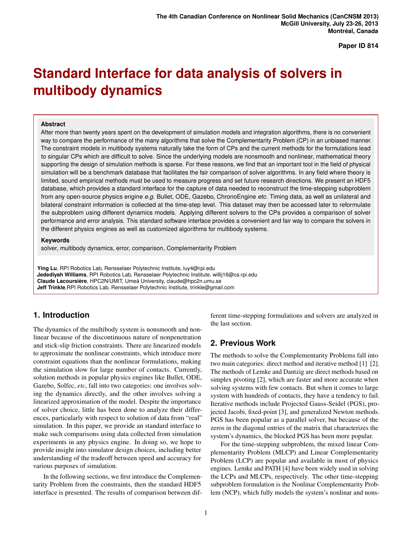**Paper ID 814**

# **Standard Interface for data analysis of solvers in multibody dynamics**

#### **Abstract**

After more than twenty years spent on the development of simulation models and integration algorithms, there is no convenient way to compare the performance of the many algorithms that solve the Complementarity Problem (CP) in an unbiased manner. The constraint models in multibody systems naturally take the form of CPs and the current methods for the formulations lead to singular CPs which are difficult to solve. Since the underlying models are nonsmooth and nonlinear, mathematical theory supporting the design of simulation methods is sparse. For these reasons, we find that an important tool in the field of physical simulation will be a benchmark database that facilitates the fair comparison of solver algorithms. In any field where theory is limited, sound empirical methods must be used to measure progress and set future research directions. We present an HDF5 database, which provides a standard interface for the capture of data needed to reconstruct the time-stepping subproblem from any open-source physics engine *e.g.* Bullet, ODE, Gazebo, ChronoEngine *etc*. Timing data, as well as unilateral and bilateral constraint information is collected at the time-step level. This dataset may then be accessed later to reformulate the subproblem using different dynamics models. Applying different solvers to the CPs provides a comparison of solver performance and error analysis. This standard software interface provides a convenient and fair way to compare the solvers in the different physics engines as well as customized algorithms for multibody systems.

#### **Keywords**

solver, multibody dynamics, error, comparison, Complementarity Problem

**Ying Lu**, RPI Robotics Lab, Rensselaer Polytechnic Institute, luy4@rpi.edu **Jedediyah Williams**, RPI Robotics Lab, Rensselaer Polytechnic Institute, willij16@cs.rpi.edu **Claude Lacoursière**, HPC2N/UMIT, Umeå University, claude@hpc2n.umu.se **Jeff Trinkle**,RPI Robotics Lab, Rensselaer Polytechnic Institute, trinkle@gmail.com

# **1. Introduction**

The dynamics of the multibody system is nonsmooth and nonlinear because of the discontinuous nature of nonpenetration and stick-slip friction constraints. There are linearized models to approximate the nonlinear constraints, which introduce more constraint equations than the nonlinear formulations, making the simulation slow for large number of contacts. Currently, solution methods in popular physics engines like Bullet, ODE, Gazebo, Solfec, *etc*, fall into two categories: one involves solving the dynamics directly, and the other involves solving a linearized approximation of the model. Despite the importance of solver choice, little has been done to analyze their differences, particularly with respect to solution of data from "real" simulation. In this paper, we provide an standard interface to make such comparisons using data collected from simulation experiments in any physics engine. In doing so, we hope to provide insight into simulator design choices, including better understanding of the tradeoff between speed and accuracy for various purposes of simulation.

In the following sections, we first introduce the Complementarity Problem from the constraints, then the standard HDF5 interface is presented. The results of comparison between different time-stepping formulations and solvers are analyzed in the last section.

# **2. Previous Work**

The methods to solve the Complementarity Problems fall into two main categories: direct method and iterative method [1] [2]. The methods of Lemke and Dantzig are direct methods based on simplex pivoting [2], which are faster and more accurate when solving systems with few contacts. But when it comes to large system with hundreds of contacts, they have a tendency to fail. Iterative methods include Projected Gauss-Seidel (PGS), projected Jacobi, fixed-point [3], and generalized Newton methods. PGS has been popular as a parallel solver, but because of the zeros in the diagonal entries of the matrix that characterizes the system's dynamics, the blocked PGS has been more popular.

For the time-stepping subproblem, the mixed linear Complementarity Problem (MLCP) and Linear Complementarity Problem (LCP) are popular and available in most of physics engines. Lemke and PATH [4] have been widely used in solving the LCPs and MLCPs, respectively. The other time-stepping subproblem formulation is the Nonlinar Complementarity Problem (NCP), which fully models the system's nonlinar and nons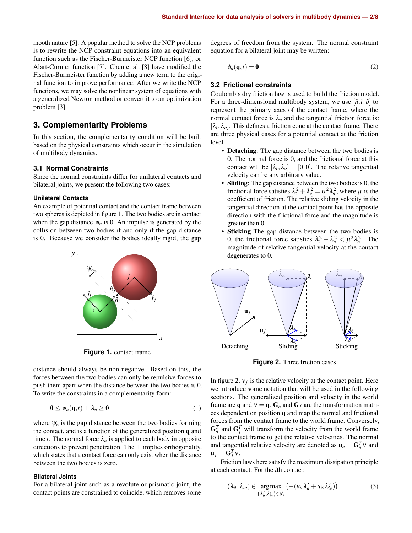mooth nature [5]. A popular method to solve the NCP problems is to rewrite the NCP constraint equations into an equivalent function such as the Fischer-Burmeister NCP function [6], or Alart-Curnier function [7]. Chen et al. [8] have modified the Fischer-Burmeister function by adding a new term to the original function to improve performance. After we write the NCP functions, we may solve the nonlinear system of equations with a generalized Newton method or convert it to an optimization problem [3].

## **3. Complementarity Problems**

In this section, the complementarity condition will be built based on the physical constraints which occur in the simulation of multibody dynamics.

#### **3.1 Normal Constraints**

Since the normal constraints differ for unilateral contacts and bilateral joints, we present the following two cases:

#### **Unilateral Contacts**

An example of potential contact and the contact frame between two spheres is depicted in figure 1. The two bodies are in contact when the gap distance  $\psi_n$  is 0. An impulse is generated by the collision between two bodies if and only if the gap distance is 0. Because we consider the bodies ideally rigid, the gap



**Figure 1.** contact frame

distance should always be non-negative. Based on this, the forces between the two bodies can only be repulsive forces to push them apart when the distance between the two bodies is 0. To write the constraints in a complementarity form:

$$
\mathbf{0} \leq \psi_n(\mathbf{q},t) \perp \lambda_n \geq \mathbf{0} \tag{1}
$$

where  $\psi_n$  is the gap distance between the two bodies forming the contact, and is a function of the generalized position q and time *t*. The normal force  $\lambda_n$  is applied to each body in opposite directions to prevent penetration. The  $\perp$  implies orthogonality, which states that a contact force can only exist when the distance between the two bodies is zero.

#### **Bilateral Joints**

For a bilateral joint such as a revolute or prismatic joint, the contact points are constrained to coincide, which removes some

degrees of freedom from the system. The normal constraint equation for a bilateral joint may be written:

$$
\phi_n(\mathbf{q},t) = \mathbf{0} \tag{2}
$$

#### **3.2 Frictional constraints**

Coulomb's dry friction law is used to build the friction model. For a three-dimensional multibody system, we use  $[\hat{n}, \hat{t}, \hat{o}]$  to represent the primary axes of the contact frame, where the normal contact force is  $\lambda_n$  and the tangential friction force is:  $[\lambda_t, \lambda_o]$ . This defines a friction cone at the contact frame. There are three physical cases for a potential contact at the friction level.

- **Detaching**: The gap distance between the two bodies is 0. The normal force is 0, and the frictional force at this contact will be  $[\lambda_t, \lambda_o] = [0, 0]$ . The relative tangential velocity can be any arbitrary value.
- Sliding: The gap distance between the two bodies is 0, the frictional force satisfies  $\lambda_t^2 + \lambda_o^2 = \mu^2 \lambda_n^2$ , where  $\mu$  is the coefficient of friction. The relative sliding velocity in the tangential direction at the contact point has the opposite direction with the frictional force and the magnitude is greater than 0.
- Sticking The gap distance between the two bodies is 0, the frictional force satisfies  $\lambda_t^2 + \lambda_o^2 < \mu^2 \lambda_n^2$ . The magnitude of relative tangential velocity at the contact degenerates to 0.



**Figure 2.** Three friction cases

In figure 2,  $v_f$  is the relative velocity at the contact point. Here we introduce some notation that will be used in the following sections. The generalized position and velocity in the world frame are q and  $v = \dot{q}$ .  $G_n$  and  $G_f$  are the transformation matrices dependent on position q and map the normal and frictional forces from the contact frame to the world frame. Conversely,  $G_n^T$  and  $G_f^T$  will transform the velocity from the world frame to the contact frame to get the relative velocities. The normal and tangential relative velocity are denoted as  $\mathbf{u}_n = \mathbf{G}_n^T \mathbf{v}$  and  $\mathbf{u}_f = \mathbf{G}_f^T \mathbf{v}$ .

Friction laws here satisfy the maximum dissipation principle at each contact. For the *i*th contact:

$$
(\lambda_{it}, \lambda_{io}) \in \underset{(\lambda'_{it}, \lambda'_{io}) \in \mathcal{F}_i}{\arg \max} \left( - (u_{it} \lambda'_{it} + u_{io} \lambda'_{io}) \right) \tag{3}
$$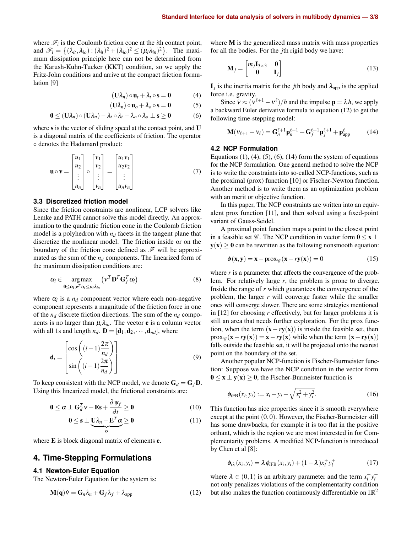where  $\mathcal{F}_i$  is the Coulomb friction cone at the *i*th contact point, and  $\mathscr{F}_i = \left\{ (\lambda_{it}, \lambda_{io}) : (\lambda_{it})^2 + (\lambda_{io})^2 \leq (\mu_i \lambda_{in})^2 \right\}$ . The maximum dissipation principle here can not be determined from the Karush-Kuhn-Tucker (KKT) condition, so we apply the Fritz-John conditions and arrive at the compact friction formulation [9]

$$
(\mathbf{U}\lambda_n)\circ\mathbf{u}_t+\lambda_t\circ\mathbf{s}=\mathbf{0}\tag{4}
$$

$$
(\mathbf{U}\lambda_n)\circ\mathbf{u}_o+\lambda_o\circ\mathbf{s}=\mathbf{0}\tag{5}
$$

$$
0 \leq (U\lambda_n) \circ (U\lambda_n) - \lambda_t \circ \lambda_t - \lambda_o \circ \lambda_o \perp s \geq 0 \tag{6}
$$

where s is the vector of sliding speed at the contact point, and **U** is a diagonal matrix of the coefficients of friction. The operator ◦ denotes the Hadamard product:

$$
\mathbf{u} \circ \mathbf{v} = \begin{bmatrix} u_1 \\ u_2 \\ \vdots \\ u_n \end{bmatrix} \circ \begin{bmatrix} v_1 \\ v_2 \\ \vdots \\ v_n \end{bmatrix} = \begin{bmatrix} u_1 v_1 \\ u_2 v_2 \\ \vdots \\ u_n v_n \end{bmatrix}
$$
(7)

#### **3.3 Discretized friction model**

Since the friction constraints are nonlinear, LCP solvers like Lemke and PATH cannot solve this model directly. An approximation to the quadratic friction cone in the Coulomb friction model is a polyhedron with  $n_d$  facets in the tangent plane that discretize the nonlinear model. The friction inside or on the boundary of the friction cone defined as  $\mathscr F$  will be approximated as the sum of the  $n_d$  components. The linearized form of the maximum dissipation conditions are:

$$
\alpha_i \in \underset{\mathbf{0} \leq \alpha_i, \mathbf{e}^T \alpha_i \leq \mu_i \lambda_{in}}{\arg \max} (\mathbf{v}^T \mathbf{D}^T \mathbf{G}_f^T \alpha_i)
$$
(8)

where  $\alpha_i$  is a  $n_d$  component vector where each non-negative component represents a magnitude of the friction force in one of the  $n_d$  discrete friction directions. The sum of the  $n_d$  components is no larger than  $\mu_i \lambda_{in}$ . The vector **e** is a column vector with all 1s and length  $n_d$ .  $\mathbf{D} = [\mathbf{d}_1, \mathbf{d}_2, \cdots, \mathbf{d}_{nd}]$ , where

$$
\mathbf{d}_{i} = \begin{bmatrix} \cos\left((i-1)\frac{2\pi}{n_{d}}\right) \\ \sin\left((i-1)\frac{2\pi}{n_{d}}\right) \end{bmatrix}
$$
(9)

To keep consistent with the NCP model, we denote  $G_d = G_f D$ . Using this linearized model, the frictional constraints are:

$$
\mathbf{0} \leq \alpha \perp \mathbf{G}_d^T \mathbf{v} + \mathbf{E} \mathbf{s} + \frac{\partial \mathbf{\psi}_f}{\partial t} \geq \mathbf{0} \tag{10}
$$

$$
0 \leq s \perp \underbrace{U\lambda_n - E^T\alpha}_{\sigma} \geq 0 \tag{11}
$$

where E is block diagonal matrix of elements **e**.

## **4. Time-Stepping Formulations**

#### **4.1 Newton-Euler Equation**

The Newton-Euler Equation for the system is:

$$
\mathbf{M}(\mathbf{q})\dot{\mathbf{v}} = \mathbf{G}_n \lambda_n + \mathbf{G}_f \lambda_f + \lambda_{\text{app}} \tag{12}
$$

where M is the generalized mass matrix with mass properties for all the bodies. For the *j*th rigid body we have:

$$
\mathbf{M}_{j} = \begin{bmatrix} m_{j} \mathbf{I}_{3 \times 3} & \mathbf{0} \\ \mathbf{0} & \mathbf{I}_{j} \end{bmatrix}
$$
 (13)

 $\mathbf{I}_j$  is the inertia matrix for the *j*th body and  $\lambda_{\text{app}}$  is the applied force i.e. gravity.

Since  $\dot{v} \approx (v^{\ell+1} - v^{\ell})/h$  and the impulse  $p = \lambda h$ , we apply a backward Euler derivative formula to equation (12) to get the following time-stepping model:

$$
\mathbf{M}(\mathbf{v}_{\ell+1} - \mathbf{v}_{\ell}) = \mathbf{G}_n^{\ell+1} \mathbf{p}_n^{\ell+1} + \mathbf{G}_f^{\ell+1} \mathbf{p}_f^{\ell+1} + \mathbf{p}_{\text{app}}^{\ell} \tag{14}
$$

#### **4.2 NCP Formulation**

Equations  $(1)$ ,  $(4)$ ,  $(5)$ ,  $(6)$ ,  $(14)$  form the system of equations for the NCP formulation. One general method to solve the NCP is to write the constraints into so-called NCP-functions, such as the proximal (prox) function [10] or Fischer-Newton function. Another method is to write them as an optimization problem with an merit or objective function.

In this paper, The NCP constraints are written into an equivalent prox function [11], and then solved using a fixed-point variant of Gauss-Seidel.

A proximal point function maps a point to the closest point in a feasible set  $\mathscr C$ . The NCP condition in vector form  $0 \le x \perp$  $y(x) \ge 0$  can be rewritten as the following nonsmooth equation:

$$
\phi(\mathbf{x}, \mathbf{y}) = \mathbf{x} - \text{prox}_{\mathscr{C}}(\mathbf{x} - r\mathbf{y}(\mathbf{x})) = 0 \tag{15}
$$

where *r* is a parameter that affects the convergence of the problem. For relatively large *r*, the problem is prone to diverge. Inside the range of *r* which guarantees the convergence of the problem, the larger *r* will converge faster while the smaller ones will converge slower. There are some strategies mentioned in [12] for choosing *r* effectively, but for larger problems it is still an area that needs further exploration. For the prox function, when the term  $(x - ry(x))$  is inside the feasible set, then  $prox_{\mathscr{C}}(\mathbf{x} - r\mathbf{y}(\mathbf{x})) = \mathbf{x} - r\mathbf{y}(\mathbf{x})$  while when the term  $(\mathbf{x} - r\mathbf{y}(\mathbf{x}))$ falls outside the feasible set, it will be projected onto the nearest point on the boundary of the set.

Another popular NCP-function is Fischer-Burmeister function: Suppose we have the NCP condition in the vector form  $0 \le x \perp y(x) \ge 0$ , the Fischer-Burmeister function is

$$
\phi_{iFB}(x_i, y_i) := x_i + y_i - \sqrt{x_i^2 + y_i^2}.
$$
\n(16)

This function has nice properties since it is smooth everywhere except at the point  $(0,0)$ . However, the Fischer-Burmeister still has some drawbacks, for example it is too flat in the positive orthant, which is the region we are most interested in for Complementarity problems. A modified NCP-function is introduced by Chen et al [8]:

$$
\phi_{i\lambda}(x_i, y_i) = \lambda \phi_{iFB}(x_i, y_i) + (1 - \lambda)x_i^+ y_i^+
$$
\n(17)

where  $\lambda \in (0,1)$  is an arbitrary parameter and the term  $x_i^+ y_i^+$ not only penalizes violations of the complementarity condition but also makes the function continuously differentiable on  $\mathbb{IR}^2$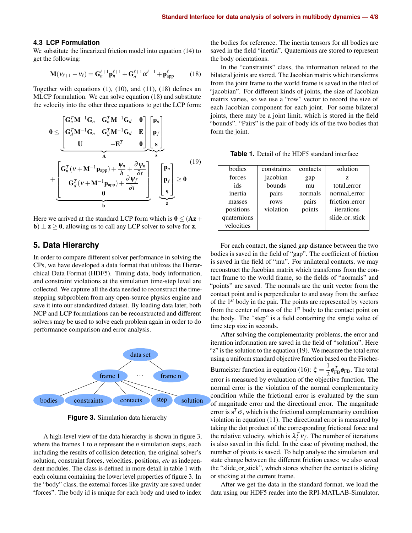#### **4.3 LCP Formulation**

We substitute the linearized friction model into equation (14) to get the following:

$$
\mathbf{M}(v_{\ell+1} - v_{\ell}) = \mathbf{G}_n^{\ell+1} \mathbf{p}_n^{\ell+1} + \mathbf{G}_d^{\ell+1} \alpha^{\ell+1} + \mathbf{p}_{app}^{\ell}
$$
 (18)

Together with equations (1), (10), and (11), (18) defines an MLCP formulation. We can solve equation (18) and substitute the velocity into the other three equations to get the LCP form:

$$
0 \leq \underbrace{\begin{bmatrix} \mathbf{G}_{n}^{T} \mathbf{M}^{-1} \mathbf{G}_{n} & \mathbf{G}_{n}^{T} \mathbf{M}^{-1} \mathbf{G}_{d} & \mathbf{0} \\ \mathbf{G}_{d}^{T} \mathbf{M}^{-1} \mathbf{G}_{n} & \mathbf{G}_{d}^{T} \mathbf{M}^{-1} \mathbf{G}_{d} & \mathbf{E} \\ \mathbf{U} & -\mathbf{E}^{T} & \mathbf{0} \end{bmatrix}}_{\mathbf{A}} \underbrace{\begin{bmatrix} \mathbf{p}_{n} \\ \mathbf{p}_{f} \\ \mathbf{s} \end{bmatrix}}_{\mathbf{F}} + \underbrace{\begin{bmatrix} \mathbf{G}_{n}^{T} (\mathbf{v} + \mathbf{M}^{-1} \mathbf{p}_{app}) + \frac{\psi_{n}}{h} + \frac{\partial \psi_{n}}{\partial t} \\ \mathbf{G}_{d}^{T} (\mathbf{v} + \mathbf{M}^{-1} \mathbf{p}_{app}) + \frac{\partial \psi_{f}}{\partial t} \\ \mathbf{0} & \mathbf{0} \end{bmatrix}}_{\mathbf{b}} \perp \underbrace{\begin{bmatrix} \mathbf{p}_{n} \\ \mathbf{p}_{f} \\ \mathbf{s} \end{bmatrix}}_{\mathbf{z}} \geq 0
$$
\n(19)

Here we arrived at the standard LCP form which is  $0 \leq (Az +$ **b**)  $\perp$  **z** > 0, allowing us to call any LCP solver to solve for **z**.

#### **5. Data Hierarchy**

In order to compare different solver performance in solving the CPs, we have developed a data format that utilizes the Hierarchical Data Format (HDF5). Timing data, body information, and constraint violations at the simulation time-step level are collected. We capture all the data needed to reconstruct the timestepping subproblem from any open-source physics engine and save it into our standardized dataset. By loading data later, both NCP and LCP formulations can be reconstructed and different solvers may be used to solve each problem again in order to do performance comparison and error analysis.



**Figure 3.** Simulation data hierarchy

A high-level view of the data hierarchy is shown in figure 3, where the frames 1 to *n* represent the *n* simulation steps, each including the results of collision detection, the original solver's solution, constraint forces, velocities, positions, *etc* as independent modules. The class is defined in more detail in table 1 with each column containing the lower level properties of figure 3. In the "body" class, the external forces like gravity are saved under "forces". The body id is unique for each body and used to index the bodies for reference. The inertia tensors for all bodies are saved in the field "inertia". Quaternions are stored to represent the body orientations.

In the "constraints" class, the information related to the bilateral joints are stored. The Jacobian matrix which transforms from the joint frame to the world frame is saved in the filed of "jacobian". For different kinds of joints, the size of Jacobian matrix varies, so we use a "row" vector to record the size of each Jacobian component for each joint. For some bilateral joints, there may be a joint limit, which is stored in the field "bounds". "Pairs" is the pair of body ids of the two bodies that form the joint.

**Table 1.** Detail of the HDF5 standard interface

| bodies      | constraints | contacts | solution       |
|-------------|-------------|----------|----------------|
| forces      | jacobian    | gap      | Z.             |
| ids         | bounds      | mu       | total_error    |
| inertia     | pairs       | normals  | normal_error   |
| masses      | rows        | pairs    | friction_error |
| positions   | violation   | points   | iterations     |
| quaternions |             |          | slide_or_stick |
| velocities  |             |          |                |

For each contact, the signed gap distance between the two bodies is saved in the field of "gap". The coefficient of friction is saved in the field of "mu". For unilateral contacts, we may reconstruct the Jacobian matrix which transforms from the contact frame to the world frame, so the fields of "normals" and "points" are saved. The normals are the unit vector from the contact point and is perpendicular to and away from the surface of the 1 *st* body in the pair. The points are represented by vectors from the center of mass of the 1 *st* body to the contact point on the body. The "step" is a field containing the single value of time step size in seconds.

After solving the complementarity problems, the error and iteration information are saved in the field of "solution". Here "z" is the solution to the equation (19). We measure the total error using a uniform standard objective function based on the Fischer-Burmeister function in equation (16):  $\xi = \frac{1}{2}$  $\frac{1}{2} \phi_{FB}^T \phi_{FB}$ . The total error is measured by evaluation of the objective function. The normal error is the violation of the normal complementarity condition while the frictional error is evaluated by the sum of magnitude error and the directional error. The magnitude error is  $s^T \sigma$ , which is the frictional complementarity condition violation in equation (11). The directional error is measured by taking the dot product of the corresponding frictional force and the relative velocity, which is  $\lambda_f^T v_f$ . The number of iterations is also saved in this field. In the case of pivoting method, the number of pivots is saved. To help analyse the simulation and state change between the different friction cases: we also saved the "slide or stick", which stores whether the contact is sliding or sticking at the current frame.

After we get the data in the standard format, we load the data using our HDF5 reader into the RPI-MATLAB-Simulator,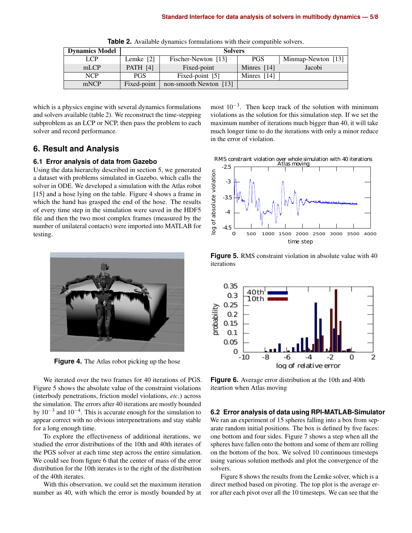| <b>Dynamics Model</b> | <b>Solvers</b>  |                        |               |                    |  |
|-----------------------|-----------------|------------------------|---------------|--------------------|--|
| LCP                   | Lemke [2]       | Fischer-Newton [13]    | <b>PGS</b>    | Minmap-Newton [13] |  |
| mLCP                  | <b>PATH</b> [4] | Fixed-point            | Minres $[14]$ | Jacobi             |  |
| <b>NCP</b>            | <b>PGS</b>      | Fixed-point [5]        | Minres [14]   |                    |  |
| mNCP                  | Fixed-point     | non-smooth Newton [13] |               |                    |  |

**Table 2.** Available dynamics formulations with their compatible solvers.

which is a physics engine with several dynamics formulations and solvers available (table 2). We reconstruct the time-stepping subproblem as an LCP or NCP, then pass the problem to each solver and record performance.

## **6. Result and Analysis**

#### **6.1 Error analysis of data from Gazebo**

Using the data hierarchy described in section 5, we generated a dataset with problems simulated in Gazebo, which calls the solver in ODE. We developed a simulation with the Atlas robot [15] and a hose lying on the table. Figure 4 shows a frame in which the hand has grasped the end of the hose. The results of every time step in the simulation were saved in the HDF5 file and then the two most complex frames (measured by the number of unilateral contacts) were imported into MATLAB for testing.



**Figure 4.** The Atlas robot picking up the hose

We iterated over the two frames for 40 iterations of PGS. Figure 5 shows the absolute value of the constraint violations (interbody penetrations, friction model violations, *etc.*) across the simulation. The errors after 40 iterations are mostly bounded by  $10^{-3}$  and  $10^{-4}$ . This is accurate enough for the simulation to appear correct with no obvious interpenetrations and stay stable for a long enough time.

To explore the effectiveness of additional iterations, we studied the error distributions of the 10th and 40th iterates of the PGS solver at each time step across the entire simulation. We could see from figure 6 that the center of mass of the error distribution for the 10th iterates is to the right of the distribution of the 40th iterates.

With this observation, we could set the maximum iteration number as 40, with which the error is mostly bounded by at

most  $10^{-3}$ . Then keep track of the solution with minimum violations as the solution for this simulation step. If we set the maximum number of iterations much bigger than 40, it will take much longer time to do the iterations with only a minor reduce in the error of violation.





**Figure 5.** RMS constraint violation in absolute value with 40 iterations



**Figure 6.** Average error distribution at the 10th and 40th iteartion when Atlas moving

#### **6.2 Error analysis of data using RPI-MATLAB-Simulator**

We ran an experiment of 15 spheres falling into a box from separate random initial positions. The box is defined by five faces: one bottom and four sides. Figure 7 shows a step when all the spheres have fallen onto the bottom and some of them are rolling on the bottom of the box. We solved 10 continuous timesteps using various solution methods and plot the convergence of the solvers.

Figure 8 shows the results from the Lemke solver, which is a direct method based on pivoting. The top plot is the average error after each pivot over all the 10 timesteps. We can see that the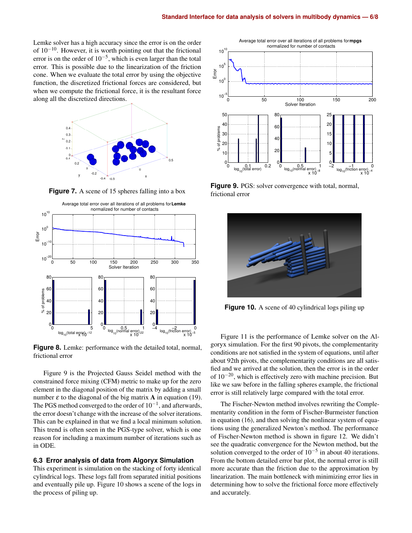Lemke solver has a high accuracy since the error is on the order of 10−10. However, it is worth pointing out that the frictional error is on the order of  $10^{-5}$ , which is even larger than the total error. This is possible due to the linearization of the friction cone. When we evaluate the total error by using the objective function, the discretized frictional forces are considered, but when we compute the frictional force, it is the resultant force along all the discretized directions.



**Figure 7.** A scene of 15 spheres falling into a box



**Figure 8.** Lemke: performance with the detailed total, normal, frictional error

Figure 9 is the Projected Gauss Seidel method with the constrained force mixing (CFM) metric to make up for the zero element in the diagonal position of the matrix by adding a small number  $\varepsilon$  to the diagonal of the big matrix **A** in equation (19). The PGS method converged to the order of  $10^{-1}$ , and afterwards, the error doesn't change with the increase of the solver iterations. This can be explained in that we find a local minimum solution. This trend is often seen in the PGS-type solver, which is one reason for including a maximum number of iterations such as in ODE.

#### **6.3 Error analysis of data from Algoryx Simulation**

This experiment is simulation on the stacking of forty identical cylindrical logs. These logs fall from separated initial positions and eventually pile up. Figure 10 shows a scene of the logs in the process of piling up.



**Figure 9.** PGS: solver convergence with total, normal, frictional error



**Figure 10.** A scene of 40 cylindrical logs piling up

Figure 11 is the performance of Lemke solver on the Algoryx simulation. For the first 90 pivots, the complementarity conditions are not satisfied in the system of equations, until after about 92th pivots, the complementarity conditions are all satisfied and we arrived at the solution, then the error is in the order of 10−20, which is effectively zero with machine precision. But like we saw before in the falling spheres example, the frictional error is still relatively large compared with the total error.

The Fischer-Newton method involves rewriting the Complementarity condition in the form of Fischer-Burmeister function in equation (16), and then solving the nonlinear system of equations using the generalized Newton's method. The performance of Fischer-Newton method is shown in figure 12. We didn't see the quadratic convergence for the Newton method, but the solution converged to the order of  $10^{-5}$  in about 40 iterations. From the bottom detailed error bar plot, the normal error is still more accurate than the friction due to the approximation by linearization. The main bottleneck with minimizing error lies in determining how to solve the frictional force more effectively and accurately.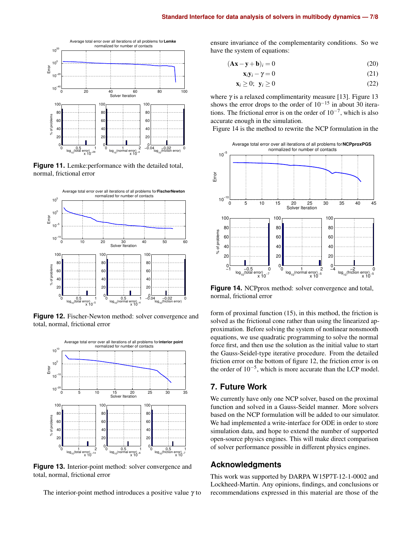

**Figure 11.** Lemke:performance with the detailed total, normal, frictional error



**Figure 12.** Fischer-Newton method: solver convergence and total, normal, frictional error



**Figure 13.** Interior-point method: solver convergence and total, normal, frictional error

The interior-point method introduces a positive value  $\gamma$  to

ensure invariance of the complementarity conditions. So we have the system of equations:

$$
(\mathbf{A}\mathbf{x} - \mathbf{y} + \mathbf{b})_i = 0 \tag{20}
$$

$$
\mathbf{x}_i \mathbf{y}_i - \gamma = 0 \tag{21}
$$

$$
\mathbf{x}_i \ge 0; \ \mathbf{y}_i \ge 0 \tag{22}
$$

where  $\gamma$  is a relaxed complimentarity measure [13]. Figure 13 shows the error drops to the order of  $10^{-15}$  in about 30 iterations. The frictional error is on the order of  $10^{-7}$ , which is also accurate enough in the simulation.

Figure 14 is the method to rewrite the NCP formulation in the



**Figure 14.** NCPprox method: solver convergence and total, normal, frictional error

form of proximal function (15), in this method, the friction is solved as the frictional cone rather than using the linearized approximation. Before solving the system of nonlinear nonsmooth equations, we use quadratic programming to solve the normal force first, and then use the solution as the initial value to start the Gauss-Seidel-type iterative procedure. From the detailed friction error on the bottom of figure 12, the friction error is on the order of 10−<sup>5</sup> , which is more accurate than the LCP model.

## **7. Future Work**

We currently have only one NCP solver, based on the proximal function and solved in a Gauss-Seidel manner. More solvers based on the NCP formulation will be added to our simulator. We had implemented a write-interface for ODE in order to store simulation data, and hope to extend the number of supported open-source physics engines. This will make direct comparison of solver performance possible in different physics engines.

## **Acknowledgments**

This work was supported by DARPA W15P7T-12-1-0002 and Lockheed-Martin. Any opinions, findings, and conclusions or recommendations expressed in this material are those of the